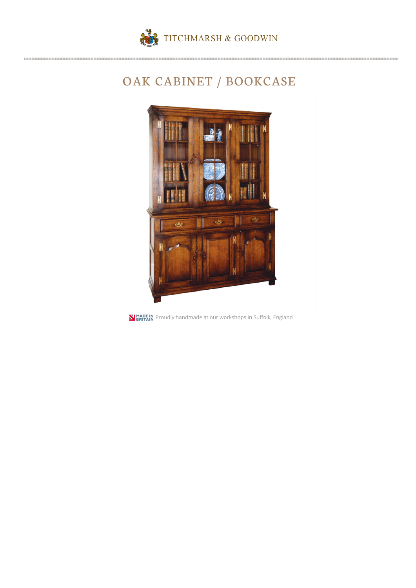

## OAK CABINET / BOOKCASE



**N MADEIN** Proudly handmade at our workshops in Suffolk, England